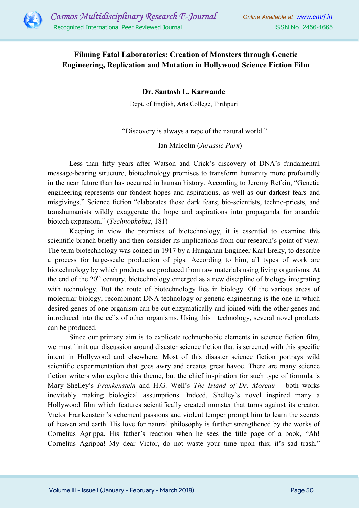

## Filming Fatal Laboratories: Creation of Monsters through Genetic Engineering, Replication and Mutation in Hollywood Science Fiction Film

Dr. Santosh L. Karwande

Dept. of English, Arts College, Tirthpuri

"Discovery is always a rape of the natural world."

Ian Malcolm (*Jurassic Park*)

Less than fifty years after Watson and Crick's discovery of DNA's fundamental message-bearing structure, biotechnology promises to transform humanity more profoundly in the near future than has occurred in human history. According to Jeremy Refkin, "Genetic engineering represents our fondest hopes and aspirations, as well as our darkest fears and misgivings." Science fiction "elaborates those dark fears; bio-scientists, techno-priests, and transhumanists wildly exaggerate the hope and aspirations into propaganda for anarchic biotech expansion." (Technophobia, 181)

Keeping in view the promises of biotechnology, it is essential to examine this scientific branch briefly and then consider its implications from our research's point of view. The term biotechnology was coined in 1917 by a Hungarian Engineer Karl Ereky, to describe a process for large-scale production of pigs. According to him, all types of work are biotechnology by which products are produced from raw materials using living organisms. At the end of the  $20<sup>th</sup>$  century, biotechnology emerged as a new discipline of biology integrating with technology. But the route of biotechnology lies in biology. Of the various areas of molecular biology, recombinant DNA technology or genetic engineering is the one in which desired genes of one organism can be cut enzymatically and joined with the other genes and introduced into the cells of other organisms. Using this technology, several novel products can be produced.

Since our primary aim is to explicate technophobic elements in science fiction film, we must limit our discussion around disaster science fiction that is screened with this specific intent in Hollywood and elsewhere. Most of this disaster science fiction portrays wild scientific experimentation that goes awry and creates great havoc. There are many science fiction writers who explore this theme, but the chief inspiration for such type of formula is Mary Shelley's Frankenstein and H.G. Well's The Island of Dr. Moreau- both works inevitably making biological assumptions. Indeed, Shelley's novel inspired many a Hollywood film which features scientifically created monster that turns against its creator. Victor Frankenstein's vehement passions and violent temper prompt him to learn the secrets of heaven and earth. His love for natural philosophy is further strengthened by the works of Cornelius Agrippa. His father's reaction when he sees the title page of a book, "Ah! Cornelius Agrippa! My dear Victor, do not waste your time upon this; it's sad trash."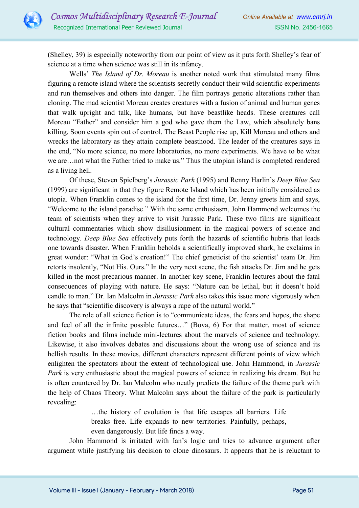

(Shelley, 39) is especially noteworthy from our point of view as it puts forth Shelley's fear of science at a time when science was still in its infancy.

Wells' The Island of Dr. Moreau is another noted work that stimulated many films figuring a remote island where the scientists secretly conduct their wild scientific experiments and run themselves and others into danger. The film portrays genetic alterations rather than cloning. The mad scientist Moreau creates creatures with a fusion of animal and human genes that walk upright and talk, like humans, but have beastlike heads. These creatures call Moreau "Father" and consider him a god who gave them the Law, which absolutely bans killing. Soon events spin out of control. The Beast People rise up, Kill Moreau and others and wrecks the laboratory as they attain complete beasthood. The leader of the creatures says in the end, "No more science, no more laboratories, no more experiments. We have to be what we are…not what the Father tried to make us." Thus the utopian island is completed rendered as a living hell.

Of these, Steven Spielberg's Jurassic Park (1995) and Renny Harlin's Deep Blue Sea (1999) are significant in that they figure Remote Island which has been initially considered as utopia. When Franklin comes to the island for the first time, Dr. Jenny greets him and says, "Welcome to the island paradise." With the same enthusiasm, John Hammond welcomes the team of scientists when they arrive to visit Jurassic Park. These two films are significant cultural commentaries which show disillusionment in the magical powers of science and technology. Deep Blue Sea effectively puts forth the hazards of scientific hubris that leads one towards disaster. When Franklin beholds a scientifically improved shark, he exclaims in great wonder: "What in God's creation!" The chief geneticist of the scientist' team Dr. Jim retorts insolently, "Not His. Ours." In the very next scene, the fish attacks Dr. Jim and he gets killed in the most precarious manner. In another key scene, Franklin lectures about the fatal consequences of playing with nature. He says: "Nature can be lethal, but it doesn't hold candle to man." Dr. Ian Malcolm in *Jurassic Park* also takes this issue more vigorously when he says that "scientific discovery is always a rape of the natural world."

The role of all science fiction is to "communicate ideas, the fears and hopes, the shape and feel of all the infinite possible futures…" (Bova, 6) For that matter, most of science fiction books and films include mini-lectures about the marvels of science and technology. Likewise, it also involves debates and discussions about the wrong use of science and its hellish results. In these movies, different characters represent different points of view which enlighten the spectators about the extent of technological use. John Hammond, in *Jurassic* Park is very enthusiastic about the magical powers of science in realizing his dream. But he is often countered by Dr. Ian Malcolm who neatly predicts the failure of the theme park with the help of Chaos Theory. What Malcolm says about the failure of the park is particularly revealing:

> …the history of evolution is that life escapes all barriers. Life breaks free. Life expands to new territories. Painfully, perhaps, even dangerously. But life finds a way.

John Hammond is irritated with Ian's logic and tries to advance argument after argument while justifying his decision to clone dinosaurs. It appears that he is reluctant to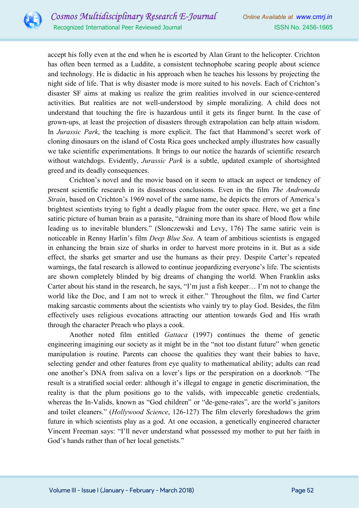

accept his folly even at the end when he is escorted by Alan Grant to the helicopter. Crichton has often been termed as a Luddite, a consistent technophobe scaring people about science and technology. He is didactic in his approach when he teaches his lessons by projecting the night side of life. That is why disaster mode is more suited to his novels. Each of Crichton's disaster SF aims at making us realize the grim realities involved in our science-centered activities. But realities are not well-understood by simple moralizing. A child does not understand that touching the fire is hazardous until it gets its finger burnt. In the case of grown-ups, at least the projection of disasters through extrapolation can help attain wisdom. In *Jurassic Park*, the teaching is more explicit. The fact that Hammond's secret work of cloning dinosaurs on the island of Costa Rica goes unchecked amply illustrates how casually we take scientific experimentations. It brings to our notice the hazards of scientific research without watchdogs. Evidently, *Jurassic Park* is a subtle, updated example of shortsighted greed and its deadly consequences.

Crichton's novel and the movie based on it seem to attack an aspect or tendency of present scientific research in its disastrous conclusions. Even in the film The Andromeda Strain, based on Crichton's 1969 novel of the same name, he depicts the errors of America's brightest scientists trying to fight a deadly plague from the outer space. Here, we get a fine satiric picture of human brain as a parasite, "draining more than its share of blood flow while leading us to inevitable blunders." (Slonczewski and Levy, 176) The same satiric vein is noticeable in Renny Harlin's film *Deep Blue Sea*. A team of ambitious scientists is engaged in enhancing the brain size of sharks in order to harvest more proteins in it. But as a side effect, the sharks get smarter and use the humans as their prey. Despite Carter's repeated warnings, the fatal research is allowed to continue jeopardizing everyone's life. The scientists are shown completely blinded by big dreams of changing the world. When Franklin asks Carter about his stand in the research, he says, "I'm just a fish keeper… I'm not to change the world like the Doc, and I am not to wreck it either." Throughout the film, we find Carter making sarcastic comments about the scientists who vainly try to play God. Besides, the film effectively uses religious evocations attracting our attention towards God and His wrath through the character Preach who plays a cook.

Another noted film entitled Gattaca (1997) continues the theme of genetic engineering imagining our society as it might be in the "not too distant future" when genetic manipulation is routine. Parents can choose the qualities they want their babies to have, selecting gender and other features from eye quality to mathematical ability; adults can read one another's DNA from saliva on a lover's lips or the perspiration on a doorknob. "The result is a stratified social order: although it's illegal to engage in genetic discrimination, the reality is that the plum positions go to the valids, with impeccable genetic credentials, whereas the In-Valids, known as "God children" or "de-gene-rates", are the world's janitors and toilet cleaners." (Hollywood Science, 126-127) The film cleverly foreshadows the grim future in which scientists play as a god. At one occasion, a genetically engineered character Vincent Freeman says: "I'll never understand what possessed my mother to put her faith in God's hands rather than of her local genetists."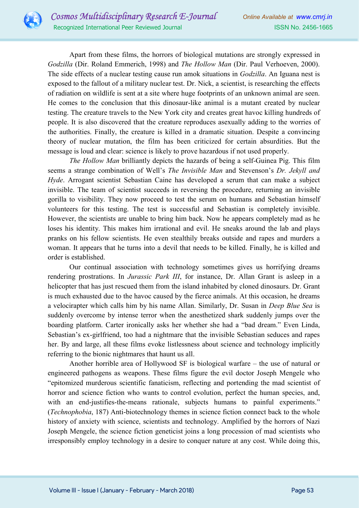

Apart from these films, the horrors of biological mutations are strongly expressed in Godzilla (Dir. Roland Emmerich, 1998) and *The Hollow Man* (Dir. Paul Verhoeven, 2000). The side effects of a nuclear testing cause run amok situations in *Godzilla*. An Iguana nest is exposed to the fallout of a military nuclear test. Dr. Nick, a scientist, is researching the effects of radiation on wildlife is sent at a site where huge footprints of an unknown animal are seen. He comes to the conclusion that this dinosaur-like animal is a mutant created by nuclear testing. The creature travels to the New York city and creates great havoc killing hundreds of people. It is also discovered that the creature reproduces asexually adding to the worries of the authorities. Finally, the creature is killed in a dramatic situation. Despite a convincing theory of nuclear mutation, the film has been criticized for certain absurdities. But the message is loud and clear: science is likely to prove hazardous if not used properly.

The Hollow Man brilliantly depicts the hazards of being a self-Guinea Pig. This film seems a strange combination of Well's The Invisible Man and Stevenson's Dr. Jekyll and Hyde. Arrogant scientist Sebastian Caine has developed a serum that can make a subject invisible. The team of scientist succeeds in reversing the procedure, returning an invisible gorilla to visibility. They now proceed to test the serum on humans and Sebastian himself volunteers for this testing. The test is successful and Sebastian is completely invisible. However, the scientists are unable to bring him back. Now he appears completely mad as he loses his identity. This makes him irrational and evil. He sneaks around the lab and plays pranks on his fellow scientists. He even stealthily breaks outside and rapes and murders a woman. It appears that he turns into a devil that needs to be killed. Finally, he is killed and order is established.

Our continual association with technology sometimes gives us horrifying dreams rendering prostrations. In *Jurassic Park III*, for instance, Dr. Allan Grant is asleep in a helicopter that has just rescued them from the island inhabited by cloned dinosaurs. Dr. Grant is much exhausted due to the havoc caused by the fierce animals. At this occasion, he dreams a velocirapter which calls him by his name Allan. Similarly, Dr. Susan in *Deep Blue Sea* is suddenly overcome by intense terror when the anesthetized shark suddenly jumps over the boarding platform. Carter ironically asks her whether she had a "bad dream." Even Linda, Sebastian's ex-girlfriend, too had a nightmare that the invisible Sebastian seduces and rapes her. By and large, all these films evoke listlessness about science and technology implicitly referring to the bionic nightmares that haunt us all.

Another horrible area of Hollywood SF is biological warfare – the use of natural or engineered pathogens as weapons. These films figure the evil doctor Joseph Mengele who "epitomized murderous scientific fanaticism, reflecting and portending the mad scientist of horror and science fiction who wants to control evolution, perfect the human species, and, with an end-justifies-the-means rationale, subjects humans to painful experiments." (Technophobia, 187) Anti-biotechnology themes in science fiction connect back to the whole history of anxiety with science, scientists and technology. Amplified by the horrors of Nazi Joseph Mengele, the science fiction geneticist joins a long procession of mad scientists who irresponsibly employ technology in a desire to conquer nature at any cost. While doing this,